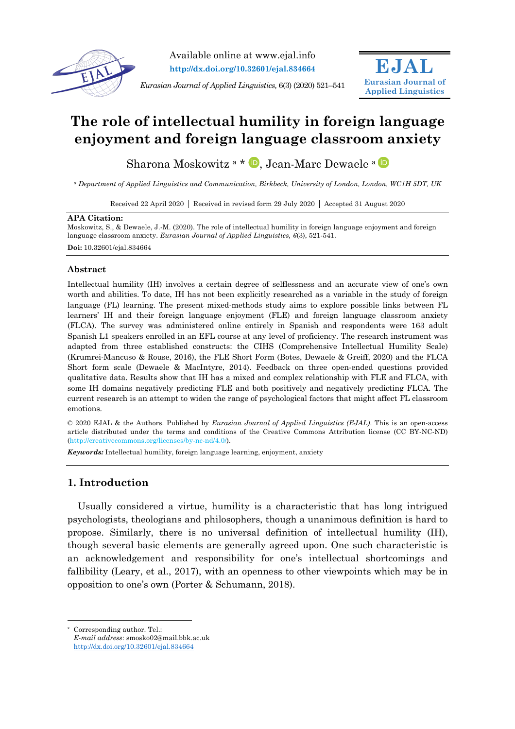

Available online at www.ejal.info **http://dx.doi.org/10.32601/ejal.834664**

*Eurasian Journal of Applied Linguistics,* 6(3) (2020) 521–541



# **The role of intellectual humility in foreign language enjoyment and foreign language classroom anxiety**

Sharona Moskowitz<sup>a \*</sup> D. Jean-Marc Dewaele <sup>a</sup>

*<sup>a</sup> Department of Applied Linguistics and Communication, Birkbeck, University of London, London, WC1H 5DT, UK*

Received 22 April 2020 | Received in revised form 29 July 2020 | Accepted 31 August 2020

#### **APA Citation:**

Moskowitz, S., & Dewaele, J.-M. (2020). The role of intellectual humility in foreign language enjoyment and foreign language classroom anxiety. *Eurasian Journal of Applied Linguistics, 6*(3), 521-541. **Doi:** 10.32601/ejal.834664

### **Abstract**

Intellectual humility (IH) involves a certain degree of selflessness and an accurate view of one's own worth and abilities. To date, IH has not been explicitly researched as a variable in the study of foreign language (FL) learning. The present mixed-methods study aims to explore possible links between FL learners' IH and their foreign language enjoyment (FLE) and foreign language classroom anxiety (FLCA). The survey was administered online entirely in Spanish and respondents were 163 adult Spanish L1 speakers enrolled in an EFL course at any level of proficiency. The research instrument was adapted from three established constructs: the CIHS (Comprehensive Intellectual Humility Scale) (Krumrei-Mancuso & Rouse, 2016), the FLE Short Form (Botes, Dewaele & Greiff, 2020) and the FLCA Short form scale (Dewaele & MacIntyre, 2014). Feedback on three open-ended questions provided qualitative data. Results show that IH has a mixed and complex relationship with FLE and FLCA, with some IH domains negatively predicting FLE and both positively and negatively predicting FLCA. The current research is an attempt to widen the range of psychological factors that might affect FL classroom emotions.

© 2020 EJAL & the Authors. Published by *Eurasian Journal of Applied Linguistics (EJAL)*. This is an open-access article distributed under the terms and conditions of the Creative Commons Attribution license (CC BY-NC-ND) (http://creativecommons.org/licenses/by-nc-nd/4.0/).

*Keywords:* Intellectual humility, foreign language learning, enjoyment, anxiety

# **1. Introduction**

Usually considered a virtue, humility is a characteristic that has long intrigued psychologists, theologians and philosophers, though a unanimous definition is hard to propose. Similarly, there is no universal definition of intellectual humility (IH), though several basic elements are generally agreed upon. One such characteristic is an acknowledgement and responsibility for one's intellectual shortcomings and fallibility (Leary, et al., 2017), with an openness to other viewpoints which may be in opposition to one's own (Porter & Schumann, 2018).

Corresponding author. Tel.:

*E-mail address*: smosko02@mail.bbk.ac.uk http://dx.doi.org/10.32601/ejal.834664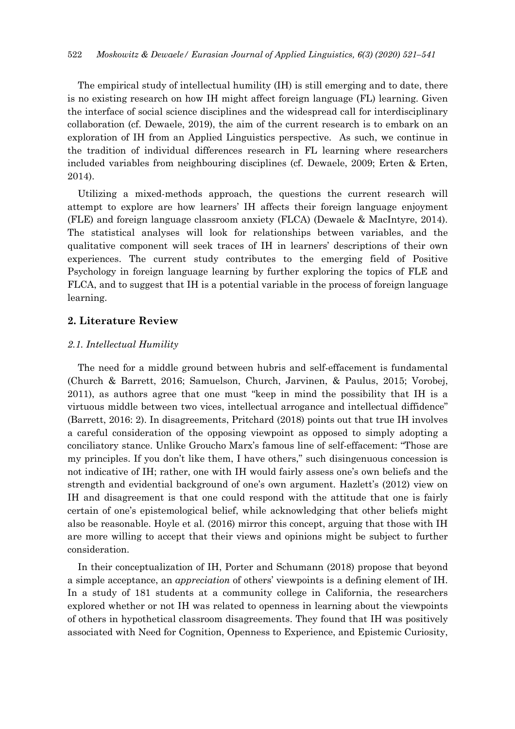The empirical study of intellectual humility (IH) is still emerging and to date, there is no existing research on how IH might affect foreign language (FL) learning. Given the interface of social science disciplines and the widespread call for interdisciplinary collaboration (cf. Dewaele, 2019), the aim of the current research is to embark on an exploration of IH from an Applied Linguistics perspective. As such, we continue in the tradition of individual differences research in FL learning where researchers included variables from neighbouring disciplines (cf. Dewaele, 2009; Erten & Erten, 2014).

Utilizing a mixed-methods approach, the questions the current research will attempt to explore are how learners' IH affects their foreign language enjoyment (FLE) and foreign language classroom anxiety (FLCA) (Dewaele & MacIntyre, 2014). The statistical analyses will look for relationships between variables, and the qualitative component will seek traces of IH in learners' descriptions of their own experiences. The current study contributes to the emerging field of Positive Psychology in foreign language learning by further exploring the topics of FLE and FLCA, and to suggest that IH is a potential variable in the process of foreign language learning.

# **2. Literature Review**

## *2.1. Intellectual Humility*

The need for a middle ground between hubris and self-effacement is fundamental (Church & Barrett, 2016; Samuelson, Church, Jarvinen, & Paulus, 2015; Vorobej, 2011), as authors agree that one must "keep in mind the possibility that IH is a virtuous middle between two vices, intellectual arrogance and intellectual diffidence" (Barrett, 2016: 2). In disagreements, Pritchard (2018) points out that true IH involves a careful consideration of the opposing viewpoint as opposed to simply adopting a conciliatory stance. Unlike Groucho Marx's famous line of self-effacement: "Those are my principles. If you don't like them, I have others," such disingenuous concession is not indicative of IH; rather, one with IH would fairly assess one's own beliefs and the strength and evidential background of one's own argument. Hazlett's (2012) view on IH and disagreement is that one could respond with the attitude that one is fairly certain of one's epistemological belief, while acknowledging that other beliefs might also be reasonable. Hoyle et al. (2016) mirror this concept, arguing that those with IH are more willing to accept that their views and opinions might be subject to further consideration.

In their conceptualization of IH, Porter and Schumann (2018) propose that beyond a simple acceptance, an *appreciation* of others' viewpoints is a defining element of IH. In a study of 181 students at a community college in California, the researchers explored whether or not IH was related to openness in learning about the viewpoints of others in hypothetical classroom disagreements. They found that IH was positively associated with Need for Cognition, Openness to Experience, and Epistemic Curiosity,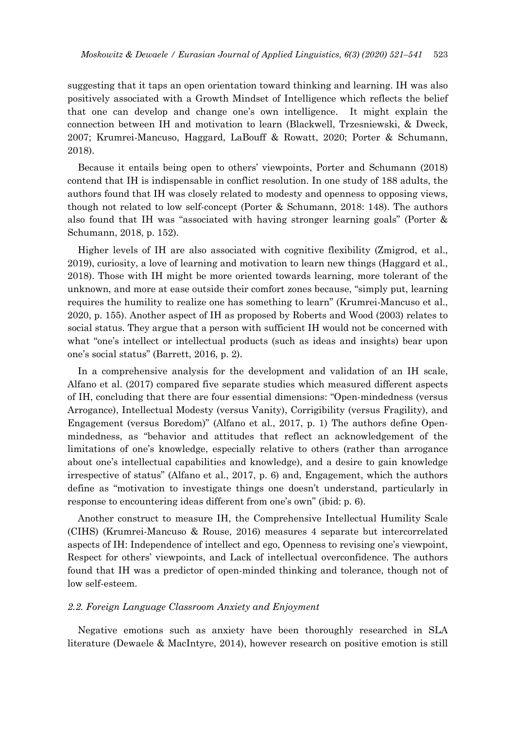suggesting that it taps an open orientation toward thinking and learning. IH was also positively associated with a Growth Mindset of Intelligence which reflects the belief that one can develop and change one's own intelligence. It might explain the connection between IH and motivation to learn (Blackwell, Trzesniewski, & Dweck, 2007; Krumrei-Mancuso, Haggard, LaBouff & Rowatt, 2020; Porter & Schumann, 2018).

Because it entails being open to others' viewpoints, Porter and Schumann (2018) contend that IH is indispensable in conflict resolution. In one study of 188 adults, the authors found that IH was closely related to modesty and openness to opposing views, though not related to low self-concept (Porter & Schumann, 2018: 148). The authors also found that IH was "associated with having stronger learning goals" (Porter & Schumann, 2018, p. 152).

Higher levels of IH are also associated with cognitive flexibility (Zmigrod, et al., 2019), curiosity, a love of learning and motivation to learn new things (Haggard et al., 2018). Those with IH might be more oriented towards learning, more tolerant of the unknown, and more at ease outside their comfort zones because, "simply put, learning requires the humility to realize one has something to learn" (Krumrei-Mancuso et al., 2020, p. 155). Another aspect of IH as proposed by Roberts and Wood (2003) relates to social status. They argue that a person with sufficient IH would not be concerned with what "one's intellect or intellectual products (such as ideas and insights) bear upon one's social status" (Barrett, 2016, p. 2).

In a comprehensive analysis for the development and validation of an IH scale, Alfano et al. (2017) compared five separate studies which measured different aspects of IH, concluding that there are four essential dimensions: "Open-mindedness (versus Arrogance), Intellectual Modesty (versus Vanity), Corrigibility (versus Fragility), and Engagement (versus Boredom)" (Alfano et al., 2017, p. 1) The authors define Openmindedness, as "behavior and attitudes that reflect an acknowledgement of the limitations of one's knowledge, especially relative to others (rather than arrogance about one's intellectual capabilities and knowledge), and a desire to gain knowledge irrespective of status" (Alfano et al., 2017, p. 6) and, Engagement, which the authors define as "motivation to investigate things one doesn't understand, particularly in response to encountering ideas different from one's own" (ibid: p. 6).

Another construct to measure IH, the Comprehensive Intellectual Humility Scale (CIHS) (Krumrei-Mancuso & Rouse, 2016) measures 4 separate but intercorrelated aspects of IH: Independence of intellect and ego, Openness to revising one's viewpoint, Respect for others' viewpoints, and Lack of intellectual overconfidence. The authors found that IH was a predictor of open-minded thinking and tolerance, though not of low self-esteem.

#### *2.2. Foreign Language Classroom Anxiety and Enjoyment*

Negative emotions such as anxiety have been thoroughly researched in SLA literature (Dewaele & MacIntyre, 2014), however research on positive emotion is still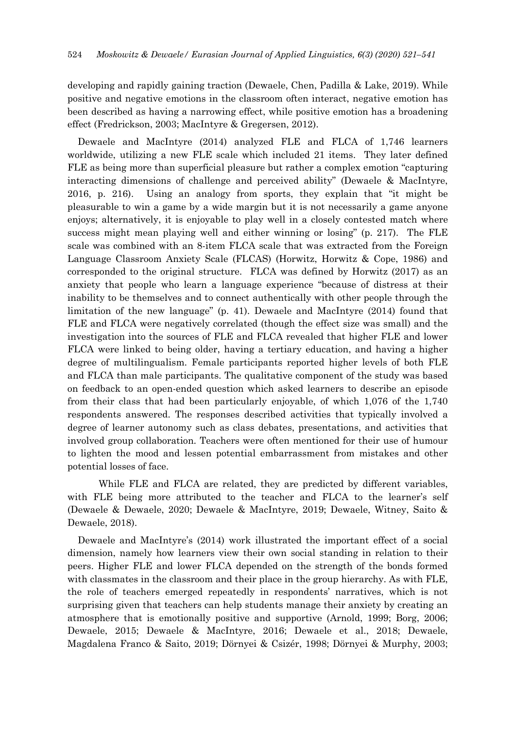developing and rapidly gaining traction (Dewaele, Chen, Padilla & Lake, 2019). While positive and negative emotions in the classroom often interact, negative emotion has been described as having a narrowing effect, while positive emotion has a broadening effect (Fredrickson, 2003; MacIntyre & Gregersen, 2012).

Dewaele and MacIntyre (2014) analyzed FLE and FLCA of 1,746 learners worldwide, utilizing a new FLE scale which included 21 items. They later defined FLE as being more than superficial pleasure but rather a complex emotion "capturing interacting dimensions of challenge and perceived ability" (Dewaele & MacIntyre, 2016, p. 216). Using an analogy from sports, they explain that "it might be pleasurable to win a game by a wide margin but it is not necessarily a game anyone enjoys; alternatively, it is enjoyable to play well in a closely contested match where success might mean playing well and either winning or losing" (p. 217). The FLE scale was combined with an 8-item FLCA scale that was extracted from the Foreign Language Classroom Anxiety Scale (FLCAS) (Horwitz, Horwitz & Cope, 1986) and corresponded to the original structure. FLCA was defined by Horwitz (2017) as an anxiety that people who learn a language experience "because of distress at their inability to be themselves and to connect authentically with other people through the limitation of the new language" (p. 41). Dewaele and MacIntyre (2014) found that FLE and FLCA were negatively correlated (though the effect size was small) and the investigation into the sources of FLE and FLCA revealed that higher FLE and lower FLCA were linked to being older, having a tertiary education, and having a higher degree of multilingualism. Female participants reported higher levels of both FLE and FLCA than male participants. The qualitative component of the study was based on feedback to an open-ended question which asked learners to describe an episode from their class that had been particularly enjoyable, of which 1,076 of the 1,740 respondents answered. The responses described activities that typically involved a degree of learner autonomy such as class debates, presentations, and activities that involved group collaboration. Teachers were often mentioned for their use of humour to lighten the mood and lessen potential embarrassment from mistakes and other potential losses of face.

While FLE and FLCA are related, they are predicted by different variables, with FLE being more attributed to the teacher and FLCA to the learner's self (Dewaele & Dewaele, 2020; Dewaele & MacIntyre, 2019; Dewaele, Witney, Saito & Dewaele, 2018).

Dewaele and MacIntyre's (2014) work illustrated the important effect of a social dimension, namely how learners view their own social standing in relation to their peers. Higher FLE and lower FLCA depended on the strength of the bonds formed with classmates in the classroom and their place in the group hierarchy. As with FLE, the role of teachers emerged repeatedly in respondents' narratives, which is not surprising given that teachers can help students manage their anxiety by creating an atmosphere that is emotionally positive and supportive (Arnold, 1999; Borg, 2006; Dewaele, 2015; Dewaele & MacIntyre, 2016; Dewaele et al., 2018; Dewaele, Magdalena Franco & Saito, 2019; Dörnyei & Csizér, 1998; Dörnyei & Murphy, 2003;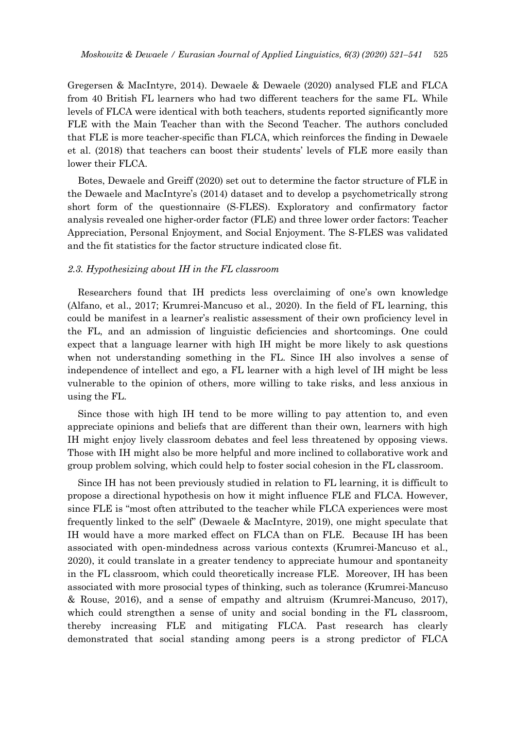Gregersen & MacIntyre, 2014). Dewaele & Dewaele (2020) analysed FLE and FLCA from 40 British FL learners who had two different teachers for the same FL. While levels of FLCA were identical with both teachers, students reported significantly more FLE with the Main Teacher than with the Second Teacher. The authors concluded that FLE is more teacher-specific than FLCA, which reinforces the finding in Dewaele et al. (2018) that teachers can boost their students' levels of FLE more easily than lower their FLCA.

Botes, Dewaele and Greiff (2020) set out to determine the factor structure of FLE in the Dewaele and MacIntyre's (2014) dataset and to develop a psychometrically strong short form of the questionnaire (S-FLES). Exploratory and confirmatory factor analysis revealed one higher-order factor (FLE) and three lower order factors: Teacher Appreciation, Personal Enjoyment, and Social Enjoyment. The S-FLES was validated and the fit statistics for the factor structure indicated close fit.

#### *2.3. Hypothesizing about IH in the FL classroom*

Researchers found that IH predicts less overclaiming of one's own knowledge (Alfano, et al., 2017; Krumrei-Mancuso et al., 2020). In the field of FL learning, this could be manifest in a learner's realistic assessment of their own proficiency level in the FL, and an admission of linguistic deficiencies and shortcomings. One could expect that a language learner with high IH might be more likely to ask questions when not understanding something in the FL. Since IH also involves a sense of independence of intellect and ego, a FL learner with a high level of IH might be less vulnerable to the opinion of others, more willing to take risks, and less anxious in using the FL.

Since those with high IH tend to be more willing to pay attention to, and even appreciate opinions and beliefs that are different than their own, learners with high IH might enjoy lively classroom debates and feel less threatened by opposing views. Those with IH might also be more helpful and more inclined to collaborative work and group problem solving, which could help to foster social cohesion in the FL classroom.

Since IH has not been previously studied in relation to FL learning, it is difficult to propose a directional hypothesis on how it might influence FLE and FLCA. However, since FLE is "most often attributed to the teacher while FLCA experiences were most frequently linked to the self" (Dewaele & MacIntyre, 2019), one might speculate that IH would have a more marked effect on FLCA than on FLE. Because IH has been associated with open-mindedness across various contexts (Krumrei-Mancuso et al., 2020), it could translate in a greater tendency to appreciate humour and spontaneity in the FL classroom, which could theoretically increase FLE. Moreover, IH has been associated with more prosocial types of thinking, such as tolerance (Krumrei-Mancuso & Rouse, 2016), and a sense of empathy and altruism (Krumrei-Mancuso, 2017), which could strengthen a sense of unity and social bonding in the FL classroom, thereby increasing FLE and mitigating FLCA. Past research has clearly demonstrated that social standing among peers is a strong predictor of FLCA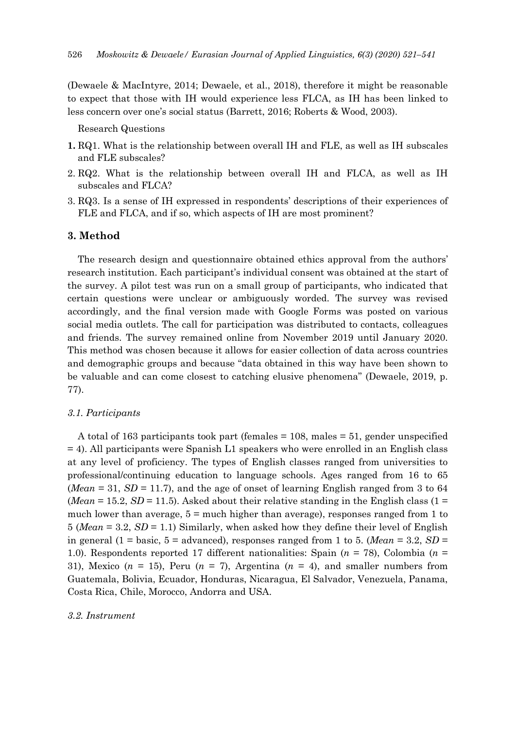(Dewaele & MacIntyre, 2014; Dewaele, et al., 2018), therefore it might be reasonable to expect that those with IH would experience less FLCA, as IH has been linked to less concern over one's social status (Barrett, 2016; Roberts & Wood, 2003).

Research Questions

- **1.** RQ1. What is the relationship between overall IH and FLE, as well as IH subscales and FLE subscales?
- 2. RQ2. What is the relationship between overall IH and FLCA, as well as IH subscales and FLCA?
- 3. RQ3. Is a sense of IH expressed in respondents' descriptions of their experiences of FLE and FLCA, and if so, which aspects of IH are most prominent?

## **3. Method**

The research design and questionnaire obtained ethics approval from the authors' research institution. Each participant's individual consent was obtained at the start of the survey. A pilot test was run on a small group of participants, who indicated that certain questions were unclear or ambiguously worded. The survey was revised accordingly, and the final version made with Google Forms was posted on various social media outlets. The call for participation was distributed to contacts, colleagues and friends. The survey remained online from November 2019 until January 2020. This method was chosen because it allows for easier collection of data across countries and demographic groups and because "data obtained in this way have been shown to be valuable and can come closest to catching elusive phenomena" (Dewaele, 2019, p. 77).

## *3.1. Participants*

A total of 163 participants took part (females = 108, males = 51, gender unspecified = 4). All participants were Spanish L1 speakers who were enrolled in an English class at any level of proficiency. The types of English classes ranged from universities to professional/continuing education to language schools. Ages ranged from 16 to 65 (*Mean* = 31,  $SD = 11.7$ ), and the age of onset of learning English ranged from 3 to 64 (*Mean* = 15.2, *SD* = 11.5). Asked about their relative standing in the English class (1 = much lower than average,  $5 =$  much higher than average), responses ranged from 1 to 5 (*Mean* = 3.2, *SD* = 1.1) Similarly, when asked how they define their level of English in general (1 = basic, 5 = advanced), responses ranged from 1 to 5. (*Mean* = 3.2, *SD* = 1.0). Respondents reported 17 different nationalities: Spain (*n* = 78), Colombia (*n* = 31), Mexico  $(n = 15)$ , Peru  $(n = 7)$ , Argentina  $(n = 4)$ , and smaller numbers from Guatemala, Bolivia, Ecuador, Honduras, Nicaragua, El Salvador, Venezuela, Panama, Costa Rica, Chile, Morocco, Andorra and USA.

#### *3.2. Instrument*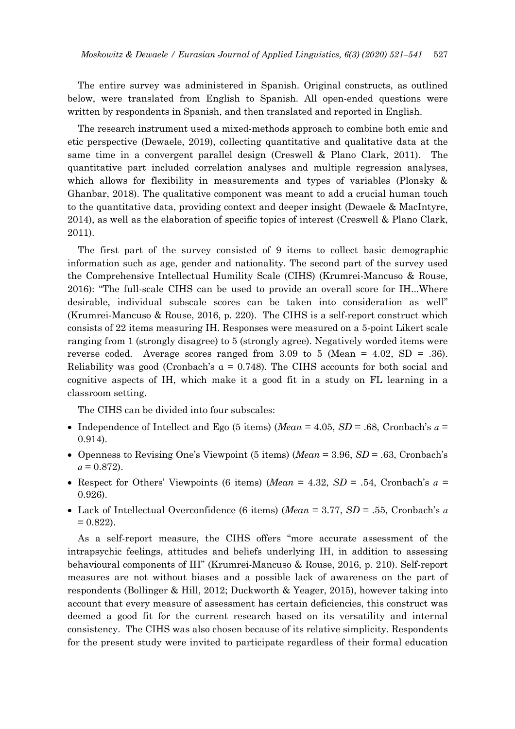The entire survey was administered in Spanish. Original constructs, as outlined below, were translated from English to Spanish. All open-ended questions were written by respondents in Spanish, and then translated and reported in English.

The research instrument used a mixed-methods approach to combine both emic and etic perspective (Dewaele, 2019), collecting quantitative and qualitative data at the same time in a convergent parallel design (Creswell & Plano Clark, 2011). The quantitative part included correlation analyses and multiple regression analyses, which allows for flexibility in measurements and types of variables (Plonsky & Ghanbar, 2018). The qualitative component was meant to add a crucial human touch to the quantitative data, providing context and deeper insight (Dewaele & MacIntyre, 2014), as well as the elaboration of specific topics of interest (Creswell & Plano Clark, 2011).

The first part of the survey consisted of 9 items to collect basic demographic information such as age, gender and nationality. The second part of the survey used the Comprehensive Intellectual Humility Scale (CIHS) (Krumrei-Mancuso & Rouse, 2016): "The full-scale CIHS can be used to provide an overall score for IH...Where desirable, individual subscale scores can be taken into consideration as well" (Krumrei-Mancuso & Rouse, 2016, p. 220). The CIHS is a self-report construct which consists of 22 items measuring IH. Responses were measured on a 5-point Likert scale ranging from 1 (strongly disagree) to 5 (strongly agree). Negatively worded items were reverse coded. Average scores ranged from  $3.09$  to  $5$  (Mean =  $4.02$ , SD = .36). Reliability was good (Cronbach's  $\alpha = 0.748$ ). The CIHS accounts for both social and cognitive aspects of IH, which make it a good fit in a study on FL learning in a classroom setting.

The CIHS can be divided into four subscales:

- Independence of Intellect and Ego (5 items) (*Mean* = 4.05,  $SD$  = .68, Cronbach's  $a$  = 0.914).
- Openness to Revising One's Viewpoint (5 items) (*Mean* = 3.96, *SD* = .63, Cronbach's  $a = 0.872$ .
- Respect for Others' Viewpoints (6 items) (*Mean* = 4.32,  $SD = .54$ , Cronbach's  $a =$ 0.926).
- Lack of Intellectual Overconfidence (6 items) (*Mean* = 3.77, *SD* = .55, Cronbach's *ɑ*  $= 0.822$ .

As a self-report measure, the CIHS offers "more accurate assessment of the intrapsychic feelings, attitudes and beliefs underlying IH, in addition to assessing behavioural components of IH" (Krumrei-Mancuso & Rouse, 2016, p. 210). Self-report measures are not without biases and a possible lack of awareness on the part of respondents (Bollinger & Hill, 2012; Duckworth & Yeager, 2015), however taking into account that every measure of assessment has certain deficiencies, this construct was deemed a good fit for the current research based on its versatility and internal consistency. The CIHS was also chosen because of its relative simplicity. Respondents for the present study were invited to participate regardless of their formal education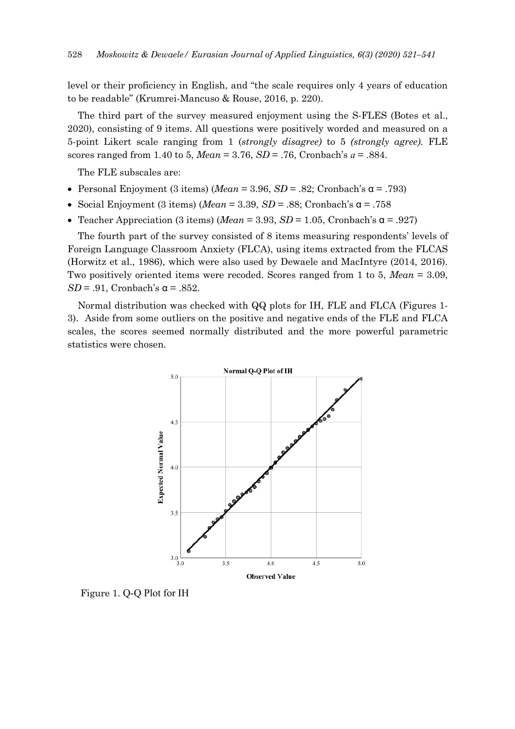level or their proficiency in English, and "the scale requires only 4 years of education to be readable" (Krumrei-Mancuso & Rouse, 2016, p. 220).

The third part of the survey measured enjoyment using the S-FLES (Botes et al., 2020), consisting of 9 items. All questions were positively worded and measured on a 5-point Likert scale ranging from 1 (*strongly disagree)* to 5 *(strongly agree).* FLE scores ranged from 1.40 to 5, *Mean* = 3.76, *SD* = .76, Cronbach's *ɑ* = .884.

The FLE subscales are:

- Personal Enjoyment (3 items) (*Mean* = 3.96, *SD* = .82; Cronbach's  $\alpha$  = .793)
- Social Enjoyment (3 items) (*Mean* = 3.39, *SD* = .88; Cronbach's  $\alpha$  = .758
- Teacher Appreciation (3 items) (*Mean* = 3.93, *SD* = 1.05, Cronbach's  $\alpha$  = .927)

The fourth part of the survey consisted of 8 items measuring respondents' levels of Foreign Language Classroom Anxiety (FLCA), using items extracted from the FLCAS (Horwitz et al., 1986), which were also used by Dewaele and MacIntyre (2014, 2016). Two positively oriented items were recoded. Scores ranged from 1 to 5, *Mean* = 3.09,  $SD = .91$ , Cronbach's  $\alpha = .852$ .

Normal distribution was checked with QQ plots for IH, FLE and FLCA (Figures 1- 3). Aside from some outliers on the positive and negative ends of the FLE and FLCA scales, the scores seemed normally distributed and the more powerful parametric statistics were chosen.



Figure 1. Q-Q Plot for IH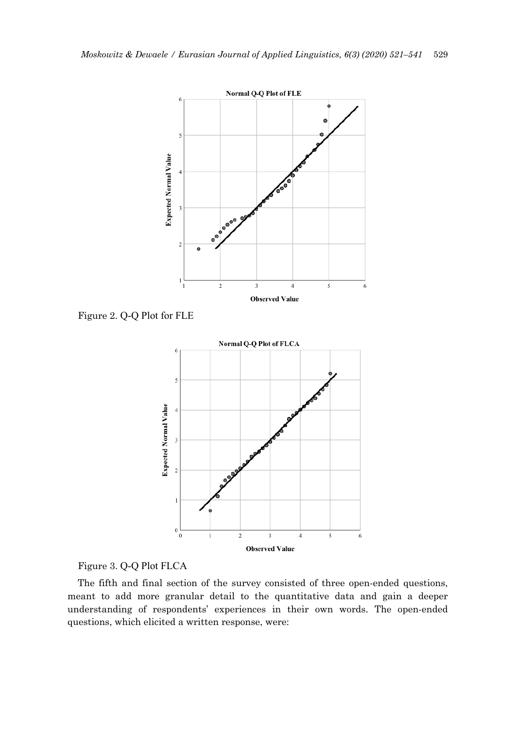

Figure 2. Q-Q Plot for FLE



Figure 3. Q-Q Plot FLCA

The fifth and final section of the survey consisted of three open-ended questions, meant to add more granular detail to the quantitative data and gain a deeper understanding of respondents' experiences in their own words. The open-ended questions, which elicited a written response, were: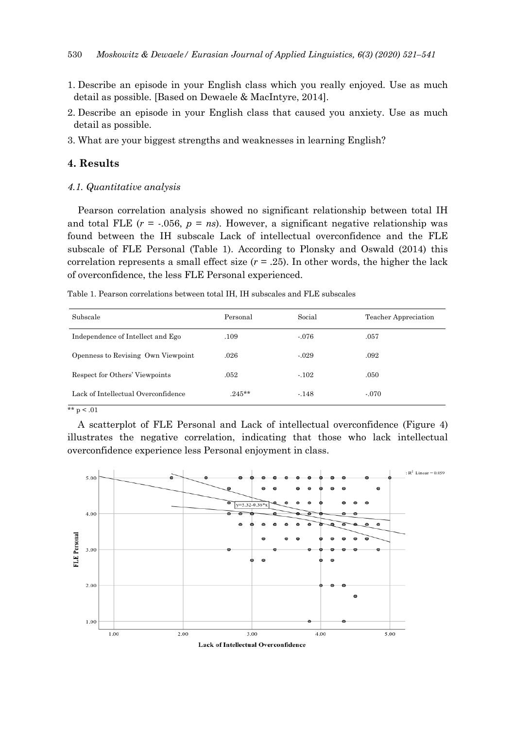- 1. Describe an episode in your English class which you really enjoyed. Use as much detail as possible. [Based on Dewaele & MacIntyre, 2014].
- 2. Describe an episode in your English class that caused you anxiety. Use as much detail as possible.
- 3. What are your biggest strengths and weaknesses in learning English?

# **4. Results**

*4.1. Quantitative analysis*

Pearson correlation analysis showed no significant relationship between total IH and total FLE  $(r = -.056, p = ns)$ . However, a significant negative relationship was found between the IH subscale Lack of intellectual overconfidence and the FLE subscale of FLE Personal (Table 1). According to Plonsky and Oswald (2014) this correlation represents a small effect size  $(r = .25)$ . In other words, the higher the lack of overconfidence, the less FLE Personal experienced.

Table 1. Pearson correlations between total IH, IH subscales and FLE subscales

| Subscale                            | Personal | Social  | Teacher Appreciation |
|-------------------------------------|----------|---------|----------------------|
| Independence of Intellect and Ego   | .109     | $-.076$ | .057                 |
| Openness to Revising Own Viewpoint  | .026     | $-.029$ | .092                 |
| Respect for Others' Viewpoints      | .052     | $-.102$ | .050                 |
| Lack of Intellectual Overconfidence | $.245**$ | $-148$  | $-.070$              |

\*\*  $p < .01$ 

A scatterplot of FLE Personal and Lack of intellectual overconfidence (Figure 4) illustrates the negative correlation, indicating that those who lack intellectual overconfidence experience less Personal enjoyment in class.

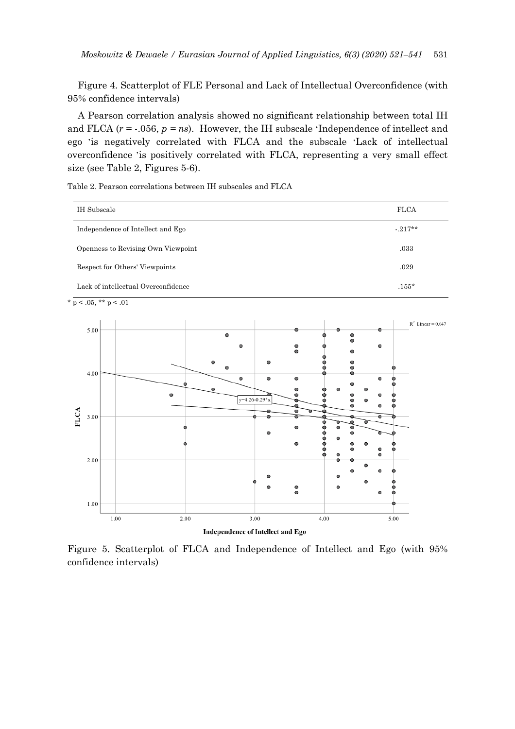Figure 4. Scatterplot of FLE Personal and Lack of Intellectual Overconfidence (with 95% confidence intervals)

A Pearson correlation analysis showed no significant relationship between total IH and FLCA  $(r = .056, p = ns)$ . However, the IH subscale 'Independence of intellect and ego 'is negatively correlated with FLCA and the subscale 'Lack of intellectual overconfidence 'is positively correlated with FLCA, representing a very small effect size (see Table 2, Figures 5-6).

Table 2. Pearson correlations between IH subscales and FLCA

| IH Subscale                         | <b>FLCA</b> |
|-------------------------------------|-------------|
| Independence of Intellect and Ego   | $-217**$    |
| Openness to Revising Own Viewpoint  | .033        |
| Respect for Others' Viewpoints      | .029        |
| Lack of intellectual Overconfidence | $.155*$     |

 $*$  p < .05, \*\* p < .01



Figure 5. Scatterplot of FLCA and Independence of Intellect and Ego (with 95% confidence intervals)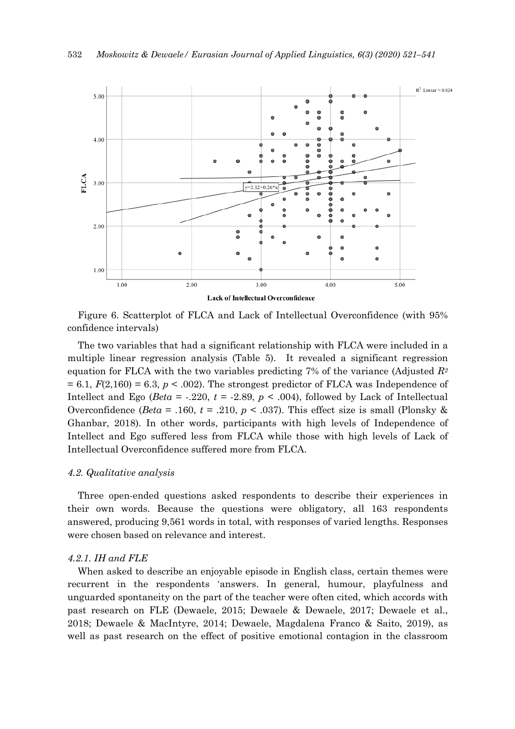

Figure 6. Scatterplot of FLCA and Lack of Intellectual Overconfidence (with 95% confidence intervals)

The two variables that had a significant relationship with FLCA were included in a multiple linear regression analysis (Table 5). It revealed a significant regression equation for FLCA with the two variables predicting 7% of the variance (Adjusted *R2*  $= 6.1, F(2,160) = 6.3, p < .002$ . The strongest predictor of FLCA was Independence of Intellect and Ego ( $Beta = .220$ ,  $t = .2.89$ ,  $p < .004$ ), followed by Lack of Intellectual Overconfidence ( $Beta = .160$ ,  $t = .210$ ,  $p < .037$ ). This effect size is small (Plonsky & Ghanbar, 2018). In other words, participants with high levels of Independence of Intellect and Ego suffered less from FLCA while those with high levels of Lack of Intellectual Overconfidence suffered more from FLCA.

## *4.2. Qualitative analysis*

Three open-ended questions asked respondents to describe their experiences in their own words. Because the questions were obligatory, all 163 respondents answered, producing 9,561 words in total, with responses of varied lengths. Responses were chosen based on relevance and interest.

## *4.2.1. IH and FLE*

When asked to describe an enjoyable episode in English class, certain themes were recurrent in the respondents 'answers. In general, humour, playfulness and unguarded spontaneity on the part of the teacher were often cited, which accords with past research on FLE (Dewaele, 2015; Dewaele & Dewaele, 2017; Dewaele et al., 2018; Dewaele & MacIntyre, 2014; Dewaele, Magdalena Franco & Saito, 2019), as well as past research on the effect of positive emotional contagion in the classroom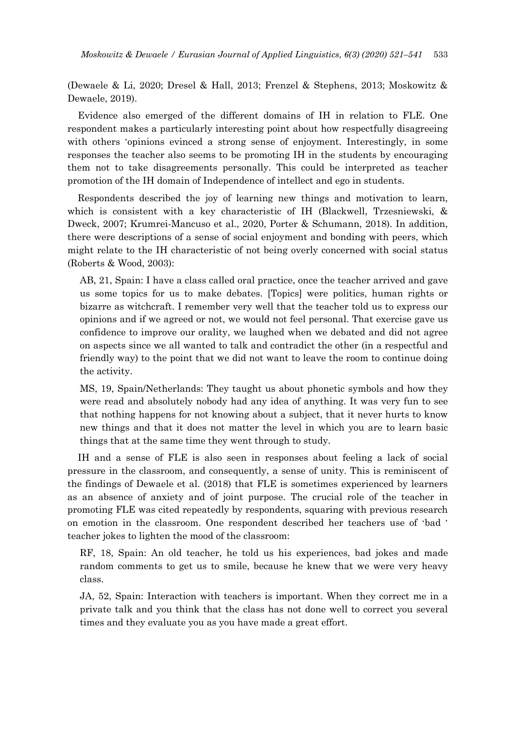(Dewaele & Li, 2020; Dresel & Hall, 2013; Frenzel & Stephens, 2013; Moskowitz & Dewaele, 2019).

Evidence also emerged of the different domains of IH in relation to FLE. One respondent makes a particularly interesting point about how respectfully disagreeing with others 'opinions evinced a strong sense of enjoyment. Interestingly, in some responses the teacher also seems to be promoting IH in the students by encouraging them not to take disagreements personally. This could be interpreted as teacher promotion of the IH domain of Independence of intellect and ego in students.

Respondents described the joy of learning new things and motivation to learn, which is consistent with a key characteristic of IH (Blackwell, Trzesniewski, & Dweck, 2007; Krumrei-Mancuso et al., 2020, Porter & Schumann, 2018). In addition, there were descriptions of a sense of social enjoyment and bonding with peers, which might relate to the IH characteristic of not being overly concerned with social status (Roberts & Wood, 2003):

AB, 21, Spain: I have a class called oral practice, once the teacher arrived and gave us some topics for us to make debates. [Topics] were politics, human rights or bizarre as witchcraft. I remember very well that the teacher told us to express our opinions and if we agreed or not, we would not feel personal. That exercise gave us confidence to improve our orality, we laughed when we debated and did not agree on aspects since we all wanted to talk and contradict the other (in a respectful and friendly way) to the point that we did not want to leave the room to continue doing the activity.

MS, 19, Spain/Netherlands: They taught us about phonetic symbols and how they were read and absolutely nobody had any idea of anything. It was very fun to see that nothing happens for not knowing about a subject, that it never hurts to know new things and that it does not matter the level in which you are to learn basic things that at the same time they went through to study.

IH and a sense of FLE is also seen in responses about feeling a lack of social pressure in the classroom, and consequently, a sense of unity. This is reminiscent of the findings of Dewaele et al. (2018) that FLE is sometimes experienced by learners as an absence of anxiety and of joint purpose. The crucial role of the teacher in promoting FLE was cited repeatedly by respondents, squaring with previous research on emotion in the classroom. One respondent described her teachers use of 'bad ' teacher jokes to lighten the mood of the classroom:

RF, 18, Spain: An old teacher, he told us his experiences, bad jokes and made random comments to get us to smile, because he knew that we were very heavy class.

JA, 52, Spain: Interaction with teachers is important. When they correct me in a private talk and you think that the class has not done well to correct you several times and they evaluate you as you have made a great effort.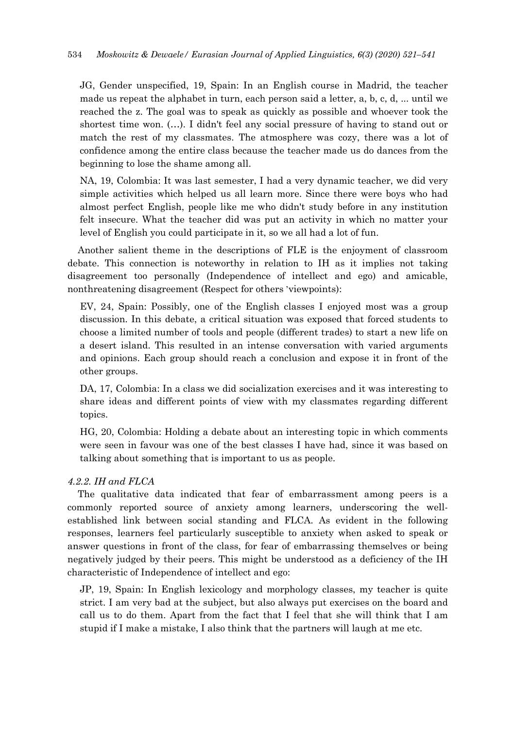JG, Gender unspecified, 19, Spain: In an English course in Madrid, the teacher made us repeat the alphabet in turn, each person said a letter, a, b, c, d, ... until we reached the z. The goal was to speak as quickly as possible and whoever took the shortest time won. (…). I didn't feel any social pressure of having to stand out or match the rest of my classmates. The atmosphere was cozy, there was a lot of confidence among the entire class because the teacher made us do dances from the beginning to lose the shame among all.

NA, 19, Colombia: It was last semester, I had a very dynamic teacher, we did very simple activities which helped us all learn more. Since there were boys who had almost perfect English, people like me who didn't study before in any institution felt insecure. What the teacher did was put an activity in which no matter your level of English you could participate in it, so we all had a lot of fun.

Another salient theme in the descriptions of FLE is the enjoyment of classroom debate. This connection is noteworthy in relation to IH as it implies not taking disagreement too personally (Independence of intellect and ego) and amicable, nonthreatening disagreement (Respect for others 'viewpoints):

EV, 24, Spain: Possibly, one of the English classes I enjoyed most was a group discussion. In this debate, a critical situation was exposed that forced students to choose a limited number of tools and people (different trades) to start a new life on a desert island. This resulted in an intense conversation with varied arguments and opinions. Each group should reach a conclusion and expose it in front of the other groups.

DA, 17, Colombia: In a class we did socialization exercises and it was interesting to share ideas and different points of view with my classmates regarding different topics.

HG, 20, Colombia: Holding a debate about an interesting topic in which comments were seen in favour was one of the best classes I have had, since it was based on talking about something that is important to us as people.

# *4.2.2. IH and FLCA*

The qualitative data indicated that fear of embarrassment among peers is a commonly reported source of anxiety among learners, underscoring the wellestablished link between social standing and FLCA. As evident in the following responses, learners feel particularly susceptible to anxiety when asked to speak or answer questions in front of the class, for fear of embarrassing themselves or being negatively judged by their peers. This might be understood as a deficiency of the IH characteristic of Independence of intellect and ego:

JP, 19, Spain: In English lexicology and morphology classes, my teacher is quite strict. I am very bad at the subject, but also always put exercises on the board and call us to do them. Apart from the fact that I feel that she will think that I am stupid if I make a mistake, I also think that the partners will laugh at me etc.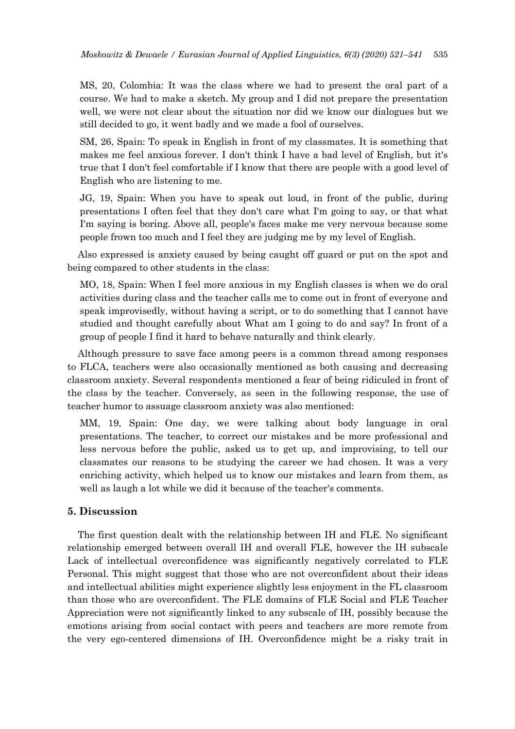MS, 20, Colombia: It was the class where we had to present the oral part of a course. We had to make a sketch. My group and I did not prepare the presentation well, we were not clear about the situation nor did we know our dialogues but we still decided to go, it went badly and we made a fool of ourselves.

SM, 26, Spain: To speak in English in front of my classmates. It is something that makes me feel anxious forever. I don't think I have a bad level of English, but it's true that I don't feel comfortable if I know that there are people with a good level of English who are listening to me.

JG, 19, Spain: When you have to speak out loud, in front of the public, during presentations I often feel that they don't care what I'm going to say, or that what I'm saying is boring. Above all, people's faces make me very nervous because some people frown too much and I feel they are judging me by my level of English.

Also expressed is anxiety caused by being caught off guard or put on the spot and being compared to other students in the class:

MO, 18, Spain: When I feel more anxious in my English classes is when we do oral activities during class and the teacher calls me to come out in front of everyone and speak improvisedly, without having a script, or to do something that I cannot have studied and thought carefully about What am I going to do and say? In front of a group of people I find it hard to behave naturally and think clearly.

Although pressure to save face among peers is a common thread among responses to FLCA, teachers were also occasionally mentioned as both causing and decreasing classroom anxiety. Several respondents mentioned a fear of being ridiculed in front of the class by the teacher. Conversely, as seen in the following response, the use of teacher humor to assuage classroom anxiety was also mentioned:

MM, 19, Spain: One day, we were talking about body language in oral presentations. The teacher, to correct our mistakes and be more professional and less nervous before the public, asked us to get up, and improvising, to tell our classmates our reasons to be studying the career we had chosen. It was a very enriching activity, which helped us to know our mistakes and learn from them, as well as laugh a lot while we did it because of the teacher's comments.

## **5. Discussion**

The first question dealt with the relationship between IH and FLE. No significant relationship emerged between overall IH and overall FLE, however the IH subscale Lack of intellectual overconfidence was significantly negatively correlated to FLE Personal. This might suggest that those who are not overconfident about their ideas and intellectual abilities might experience slightly less enjoyment in the FL classroom than those who are overconfident. The FLE domains of FLE Social and FLE Teacher Appreciation were not significantly linked to any subscale of IH, possibly because the emotions arising from social contact with peers and teachers are more remote from the very ego-centered dimensions of IH. Overconfidence might be a risky trait in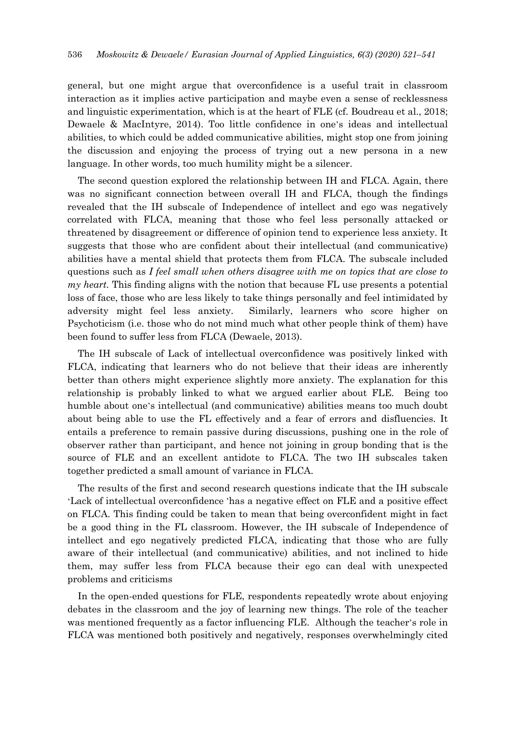general, but one might argue that overconfidence is a useful trait in classroom interaction as it implies active participation and maybe even a sense of recklessness and linguistic experimentation, which is at the heart of FLE (cf. Boudreau et al., 2018; Dewaele & MacIntyre, 2014). Too little confidence in one's ideas and intellectual abilities, to which could be added communicative abilities, might stop one from joining the discussion and enjoying the process of trying out a new persona in a new language. In other words, too much humility might be a silencer.

The second question explored the relationship between IH and FLCA. Again, there was no significant connection between overall IH and FLCA, though the findings revealed that the IH subscale of Independence of intellect and ego was negatively correlated with FLCA, meaning that those who feel less personally attacked or threatened by disagreement or difference of opinion tend to experience less anxiety. It suggests that those who are confident about their intellectual (and communicative) abilities have a mental shield that protects them from FLCA. The subscale included questions such as *I feel small when others disagree with me on topics that are close to my heart.* This finding aligns with the notion that because FL use presents a potential loss of face, those who are less likely to take things personally and feel intimidated by adversity might feel less anxiety. Similarly, learners who score higher on Psychoticism (i.e. those who do not mind much what other people think of them) have been found to suffer less from FLCA (Dewaele, 2013).

The IH subscale of Lack of intellectual overconfidence was positively linked with FLCA, indicating that learners who do not believe that their ideas are inherently better than others might experience slightly more anxiety. The explanation for this relationship is probably linked to what we argued earlier about FLE. Being too humble about one's intellectual (and communicative) abilities means too much doubt about being able to use the FL effectively and a fear of errors and disfluencies. It entails a preference to remain passive during discussions, pushing one in the role of observer rather than participant, and hence not joining in group bonding that is the source of FLE and an excellent antidote to FLCA. The two IH subscales taken together predicted a small amount of variance in FLCA.

The results of the first and second research questions indicate that the IH subscale 'Lack of intellectual overconfidence 'has a negative effect on FLE and a positive effect on FLCA. This finding could be taken to mean that being overconfident might in fact be a good thing in the FL classroom. However, the IH subscale of Independence of intellect and ego negatively predicted FLCA, indicating that those who are fully aware of their intellectual (and communicative) abilities, and not inclined to hide them, may suffer less from FLCA because their ego can deal with unexpected problems and criticisms

In the open-ended questions for FLE, respondents repeatedly wrote about enjoying debates in the classroom and the joy of learning new things. The role of the teacher was mentioned frequently as a factor influencing FLE. Although the teacher's role in FLCA was mentioned both positively and negatively, responses overwhelmingly cited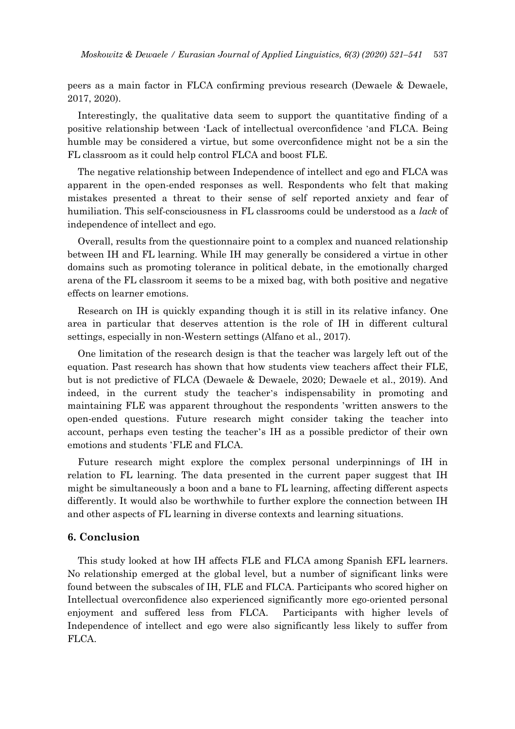peers as a main factor in FLCA confirming previous research (Dewaele & Dewaele, 2017, 2020).

Interestingly, the qualitative data seem to support the quantitative finding of a positive relationship between 'Lack of intellectual overconfidence ' and FLCA. Being humble may be considered a virtue, but some overconfidence might not be a sin the FL classroom as it could help control FLCA and boost FLE.

The negative relationship between Independence of intellect and ego and FLCA was apparent in the open-ended responses as well. Respondents who felt that making mistakes presented a threat to their sense of self reported anxiety and fear of humiliation. This self-consciousness in FL classrooms could be understood as a *lack* of independence of intellect and ego.

Overall, results from the questionnaire point to a complex and nuanced relationship between IH and FL learning. While IH may generally be considered a virtue in other domains such as promoting tolerance in political debate, in the emotionally charged arena of the FL classroom it seems to be a mixed bag, with both positive and negative effects on learner emotions.

Research on IH is quickly expanding though it is still in its relative infancy. One area in particular that deserves attention is the role of IH in different cultural settings, especially in non-Western settings (Alfano et al., 2017).

One limitation of the research design is that the teacher was largely left out of the equation. Past research has shown that how students view teachers affect their FLE. but is not predictive of FLCA (Dewaele & Dewaele, 2020; Dewaele et al., 2019). And indeed, in the current study the teacher's indispensability in promoting and maintaining FLE was apparent throughout the respondents 'written answers to the open-ended questions. Future research might consider taking the teacher into account, perhaps even testing the teacher's IH as a possible predictor of their own emotions and students 'FLE and FLCA.

Future research might explore the complex personal underpinnings of IH in relation to FL learning. The data presented in the current paper suggest that IH might be simultaneously a boon and a bane to FL learning, affecting different aspects differently. It would also be worthwhile to further explore the connection between IH and other aspects of FL learning in diverse contexts and learning situations.

# **6. Conclusion**

This study looked at how IH affects FLE and FLCA among Spanish EFL learners. No relationship emerged at the global level, but a number of significant links were found between the subscales of IH, FLE and FLCA. Participants who scored higher on Intellectual overconfidence also experienced significantly more ego-oriented personal enjoyment and suffered less from FLCA. Participants with higher levels of Independence of intellect and ego were also significantly less likely to suffer from FLCA.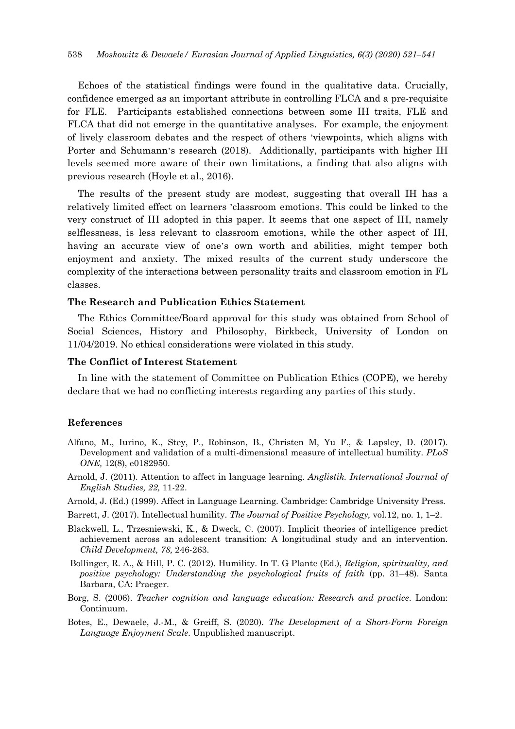Echoes of the statistical findings were found in the qualitative data. Crucially, confidence emerged as an important attribute in controlling FLCA and a pre-requisite for FLE. Participants established connections between some IH traits, FLE and FLCA that did not emerge in the quantitative analyses. For example, the enjoyment of lively classroom debates and the respect of others ' viewpoints, which aligns with Porter and Schumann's research (2018). Additionally, participants with higher IH levels seemed more aware of their own limitations, a finding that also aligns with previous research (Hoyle et al., 2016).

The results of the present study are modest, suggesting that overall IH has a relatively limited effect on learners 'classroom emotions. This could be linked to the very construct of IH adopted in this paper. It seems that one aspect of IH, namely selflessness, is less relevant to classroom emotions, while the other aspect of IH, having an accurate view of one's own worth and abilities, might temper both enjoyment and anxiety. The mixed results of the current study underscore the complexity of the interactions between personality traits and classroom emotion in FL classes.

# **The Research and Publication Ethics Statement**

The Ethics Committee/Board approval for this study was obtained from School of Social Sciences, History and Philosophy, Birkbeck, University of London on 11/04/2019. No ethical considerations were violated in this study.

#### **The Conflict of Interest Statement**

In line with the statement of Committee on Publication Ethics (COPE), we hereby declare that we had no conflicting interests regarding any parties of this study.

#### **References**

- Alfano, M., Iurino, K., Stey, P., Robinson, B., Christen M, Yu F., & Lapsley, D. (2017). Development and validation of a multi-dimensional measure of intellectual humility. *PLoS ONE,* 12(8), e0182950.
- Arnold, J. (2011). Attention to affect in language learning. *Anglistik. International Journal of English Studies, 22,* 11-22.
- Arnold, J. (Ed.) (1999). Affect in Language Learning. Cambridge: Cambridge University Press.
- Barrett, J. (2017). Intellectual humility. *The Journal of Positive Psychology,* vol.12, no. 1, 1–2.
- Blackwell, L., Trzesniewski, K., & Dweck, C. (2007). Implicit theories of intelligence predict achievement across an adolescent transition: A longitudinal study and an intervention. *Child Development, 78,* 246-263.
- Bollinger, R. A., & Hill, P. C. (2012). Humility. In T. G Plante (Ed.), *Religion, spirituality, and positive psychology: Understanding the psychological fruits of faith* (pp. 31–48). Santa Barbara, CA: Praeger.
- Borg, S. (2006). *Teacher cognition and language education: Research and practice*. London: Continuum.
- Botes, E., Dewaele, J.-M., & Greiff, S. (2020). *The Development of a Short-Form Foreign Language Enjoyment Scale*. Unpublished manuscript.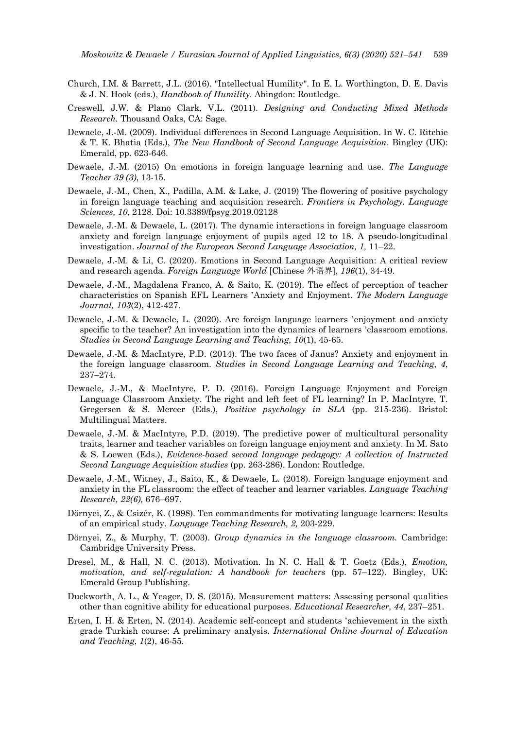- Church, I.M. & Barrett, J.L. (2016). "Intellectual Humility". In E. L. Worthington, D. E. Davis & J. N. Hook (eds.), *Handbook of Humility.* Abingdon: Routledge.
- Creswell, J.W. & Plano Clark, V.L. (2011). *Designing and Conducting Mixed Methods Research.* Thousand Oaks, CA: Sage.
- Dewaele, J.-M. (2009). Individual differences in Second Language Acquisition. In W. C. Ritchie & T. K. Bhatia (Eds.), *The New Handbook of Second Language Acquisition*. Bingley (UK): Emerald, pp. 623-646.
- Dewaele, J.-M. (2015) On emotions in foreign language learning and use. *The Language Teacher 39 (3)*, 13-15.
- Dewaele, J.-M., Chen, X., Padilla, A.M. & Lake, J. (2019) The flowering of positive psychology in foreign language teaching and acquisition research. *Frontiers in Psychology. Language Sciences, 10*, 2128. Doi: 10.3389/fpsyg.2019.02128
- Dewaele, J.-M. & Dewaele, L. (2017). The dynamic interactions in foreign language classroom anxiety and foreign language enjoyment of pupils aged 12 to 18. A pseudo-longitudinal investigation. *Journal of the European Second Language Association, 1,* 11–22.
- Dewaele, J.-M. & Li, C. (2020). Emotions in Second Language Acquisition: A critical review and research agenda. *Foreign Language World* [Chinese 外语界], *196*(1), 34-49.
- Dewaele, J.-M., Magdalena Franco, A. & Saito, K. (2019). The effect of perception of teacher characteristics on Spanish EFL Learners ' Anxiety and Enjoyment. *The Modern Language Journal, 103*(2), 412-427.
- Dewaele, J.-M. & Dewaele, L. (2020). Are foreign language learners ' enjoyment and anxiety specific to the teacher? An investigation into the dynamics of learners 'classroom emotions. *Studies in Second Language Learning and Teaching, 10*(1), 45-65.
- Dewaele, J.-M. & MacIntyre, P.D. (2014). The two faces of Janus? Anxiety and enjoyment in the foreign language classroom. *Studies in Second Language Learning and Teaching*, *4*, 237–274.
- Dewaele, J.-M., & MacIntyre, P. D. (2016). Foreign Language Enjoyment and Foreign Language Classroom Anxiety. The right and left feet of FL learning? In P. MacIntyre, T. Gregersen & S. Mercer (Eds.), *Positive psychology in SLA* (pp. 215-236). Bristol: Multilingual Matters.
- Dewaele, J.-M. & MacIntyre, P.D. (2019). The predictive power of multicultural personality traits, learner and teacher variables on foreign language enjoyment and anxiety. In M. Sato & S. Loewen (Eds.), *Evidence-based second language pedagogy: A collection of Instructed Second Language Acquisition studies* (pp. 263-286). London: Routledge.
- Dewaele, J.-M., Witney, J., Saito, K., & Dewaele, L. (2018). Foreign language enjoyment and anxiety in the FL classroom: the effect of teacher and learner variables. *Language Teaching Research, 22(6),* 676–697.
- Dörnyei, Z., & Csizér, K. (1998). Ten commandments for motivating language learners: Results of an empirical study. *Language Teaching Research, 2,* 203-229.
- Dörnyei, Z., & Murphy, T. (2003). *Group dynamics in the language classroom.* Cambridge: Cambridge University Press.
- Dresel, M., & Hall, N. C. (2013). Motivation. In N. C. Hall & T. Goetz (Eds.), *Emotion, motivation, and self-regulation: A handbook for teachers* (pp. 57–122). Bingley, UK: Emerald Group Publishing.
- Duckworth, A. L., & Yeager, D. S. (2015). Measurement matters: Assessing personal qualities other than cognitive ability for educational purposes. *Educational Researcher, 44*, 237–251.
- Erten, I. H. & Erten, N. (2014). Academic self-concept and students ' achievement in the sixth grade Turkish course: A preliminary analysis. *International Online Journal of Education and Teaching*, *1*(2), 46-55.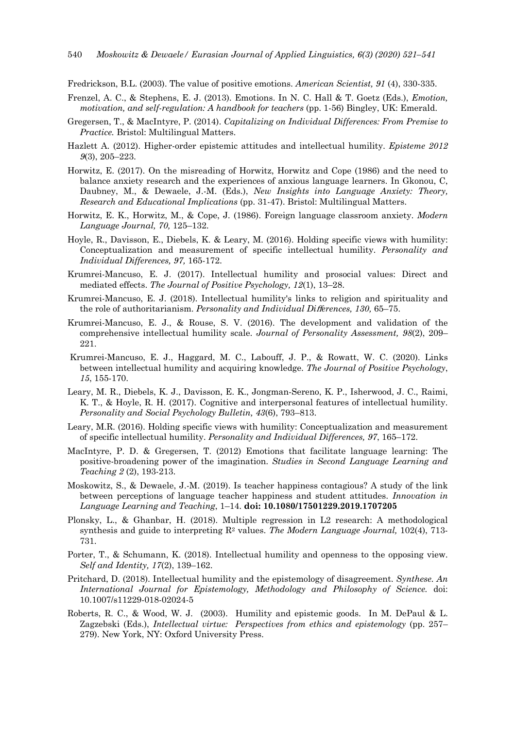Fredrickson, B.L. (2003). The value of positive emotions. *American Scientist, 91* (4), 330-335.

- Frenzel, A. C., & Stephens, E. J. (2013). Emotions. In N. C. Hall & T. Goetz (Eds.), *Emotion, motivation, and self-regulation: A handbook for teachers* (pp. 1-56) Bingley, UK: Emerald.
- Gregersen, T., & MacIntyre, P. (2014). *Capitalizing on Individual Differences: From Premise to Practice.* Bristol: Multilingual Matters.
- Hazlett A. (2012). Higher-order epistemic attitudes and intellectual humility. *Episteme 2012 9*(3), 205–223.
- Horwitz, E. (2017). On the misreading of Horwitz, Horwitz and Cope (1986) and the need to balance anxiety research and the experiences of anxious language learners. In Gkonou, C, Daubney, M., & Dewaele, J.-M. (Eds.), *New Insights into Language Anxiety: Theory, Research and Educational Implications* (pp. 31-47). Bristol: Multilingual Matters.
- Horwitz, E. K., Horwitz, M., & Cope, J. (1986). Foreign language classroom anxiety. *Modern Language Journal, 70,* 125–132.
- Hoyle, R., Davisson, E., Diebels, K. & Leary, M. (2016). Holding specific views with humility: Conceptualization and measurement of specific intellectual humility. *Personality and Individual Differences, 97,* 165-172.
- Krumrei-Mancuso, E. J. (2017). Intellectual humility and prosocial values: Direct and mediated effects. *The Journal of Positive Psychology, 12*(1), 13–28.
- Krumrei-Mancuso, E. J. (2018). Intellectual humility's links to religion and spirituality and the role of authoritarianism. *Personality and Individual Di*ff*erences, 130,* 65–75.
- Krumrei-Mancuso, E. J., & Rouse, S. V. (2016). The development and validation of the comprehensive intellectual humility scale. *Journal of Personality Assessment, 98*(2), 209– 221.
- Krumrei-Mancuso, E. J., Haggard, M. C., Labouff, J. P., & Rowatt, W. C. (2020). Links between intellectual humility and acquiring knowledge. *The Journal of Positive Psychology*, *15*, 155-170.
- Leary, M. R., Diebels, K. J., Davisson, E. K., Jongman-Sereno, K. P., Isherwood, J. C., Raimi, K. T., & Hoyle, R. H. (2017). Cognitive and interpersonal features of intellectual humility. *Personality and Social Psychology Bulletin, 43*(6), 793–813.
- Leary, M.R. (2016). Holding specific views with humility: Conceptualization and measurement of specific intellectual humility. *Personality and Individual Differences, 97*, 165–172.
- MacIntyre, P. D. & Gregersen, T. (2012) Emotions that facilitate language learning: The positive-broadening power of the imagination. *Studies in Second Language Learning and Teaching 2* (2), 193-213.
- Moskowitz, S., & Dewaele, J.-M. (2019). Is teacher happiness contagious? A study of the link between perceptions of language teacher happiness and student attitudes. *Innovation in Language Learning and Teaching*, 1–14. **doi: 10.1080/17501229.2019.1707205**
- Plonsky, L., & Ghanbar, H. (2018). Multiple regression in L2 research: A methodological synthesis and guide to interpreting R2 values. *The Modern Language Journal,* 102(4), 713- 731.
- Porter, T., & Schumann, K. (2018). Intellectual humility and openness to the opposing view. *Self and Identity, 17*(2), 139–162.
- Pritchard, D. (2018). Intellectual humility and the epistemology of disagreement. *Synthese. An International Journal for Epistemology, Methodology and Philosophy of Science.* doi: 10.1007/s11229-018-02024-5
- Roberts, R. C., & Wood, W. J. (2003). Humility and epistemic goods. In M. DePaul & L. Zagzebski (Eds.), *Intellectual virtue: Perspectives from ethics and epistemology* (pp. 257– 279). New York, NY: Oxford University Press.